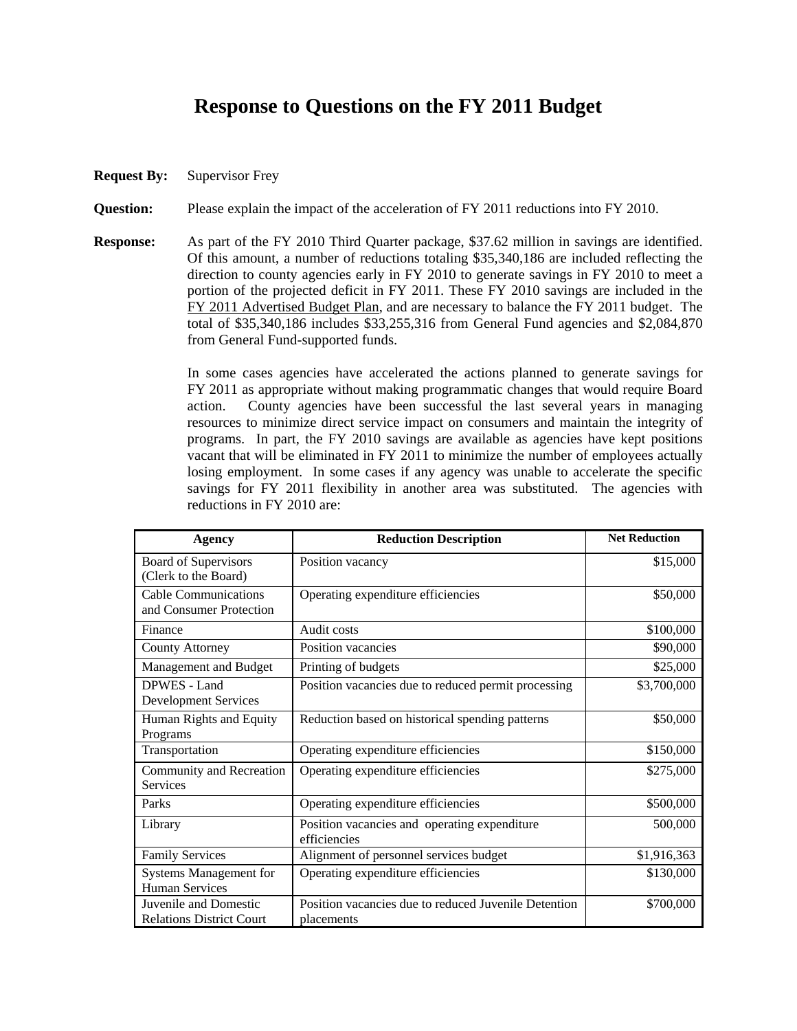## **Response to Questions on the FY 2011 Budget**

**Request By:** Supervisor Frey

**Question:** Please explain the impact of the acceleration of FY 2011 reductions into FY 2010.

**Response:** As part of the FY 2010 Third Quarter package, \$37.62 million in savings are identified. Of this amount, a number of reductions totaling \$35,340,186 are included reflecting the direction to county agencies early in FY 2010 to generate savings in FY 2010 to meet a portion of the projected deficit in FY 2011. These FY 2010 savings are included in the FY 2011 Advertised Budget Plan, and are necessary to balance the FY 2011 budget. The total of \$35,340,186 includes \$33,255,316 from General Fund agencies and \$2,084,870 from General Fund-supported funds.

> In some cases agencies have accelerated the actions planned to generate savings for FY 2011 as appropriate without making programmatic changes that would require Board action. County agencies have been successful the last several years in managing resources to minimize direct service impact on consumers and maintain the integrity of programs. In part, the FY 2010 savings are available as agencies have kept positions vacant that will be eliminated in FY 2011 to minimize the number of employees actually losing employment. In some cases if any agency was unable to accelerate the specific savings for FY 2011 flexibility in another area was substituted. The agencies with reductions in FY 2010 are:

| <b>Agency</b>                                          | <b>Reduction Description</b>                                 | <b>Net Reduction</b> |
|--------------------------------------------------------|--------------------------------------------------------------|----------------------|
| Board of Supervisors<br>(Clerk to the Board)           | Position vacancy                                             | \$15,000             |
| <b>Cable Communications</b><br>and Consumer Protection | Operating expenditure efficiencies                           | \$50,000             |
| Finance                                                | Audit costs                                                  | \$100,000            |
| <b>County Attorney</b>                                 | Position vacancies                                           | \$90,000             |
| Management and Budget                                  | Printing of budgets                                          | \$25,000             |
| DPWES - Land<br><b>Development Services</b>            | Position vacancies due to reduced permit processing          | \$3,700,000          |
| Human Rights and Equity<br>Programs                    | Reduction based on historical spending patterns              | \$50,000             |
| Transportation                                         | Operating expenditure efficiencies                           | \$150,000            |
| Community and Recreation<br><b>Services</b>            | Operating expenditure efficiencies                           | \$275,000            |
| Parks                                                  | Operating expenditure efficiencies                           | \$500,000            |
| Library                                                | Position vacancies and operating expenditure<br>efficiencies | 500,000              |
| <b>Family Services</b>                                 | Alignment of personnel services budget                       | \$1,916,363          |
| <b>Systems Management for</b><br><b>Human Services</b> | Operating expenditure efficiencies                           | \$130,000            |
| Juvenile and Domestic                                  | Position vacancies due to reduced Juvenile Detention         | \$700,000            |
| <b>Relations District Court</b>                        | placements                                                   |                      |